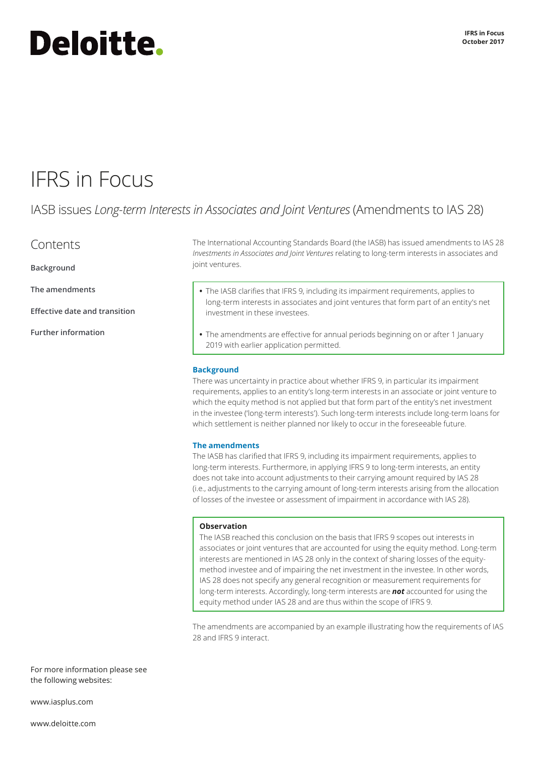# **Deloitte.**

## IFRS in Focus

### IASB issues *Long-term Interests in Associates and Joint Ventures* (Amendments to IAS 28)

### **Contents**

**Background**

**The amendments**

**[Effective date and transition](#page-1-0)** 

**[Further information](#page-1-0)**

The International Accounting Standards Board (the IASB) has issued amendments to IAS 28 *Investments in Associates and Joint Ventures* relating to long-term interests in associates and joint ventures.

- **•** The IASB clarifies that IFRS 9, including its impairment requirements, applies to long-term interests in associates and joint ventures that form part of an entity's net investment in these investees.
- **•** The amendments are effective for annual periods beginning on or after 1 January 2019 with earlier application permitted.

#### **Background**

There was uncertainty in practice about whether IFRS 9, in particular its impairment requirements, applies to an entity's long-term interests in an associate or joint venture to which the equity method is not applied but that form part of the entity's net investment in the investee ('long-term interests'). Such long-term interests include long-term loans for which settlement is neither planned nor likely to occur in the foreseeable future.

#### **The amendments**

The IASB has clarified that IFRS 9, including its impairment requirements, applies to long-term interests. Furthermore, in applying IFRS 9 to long-term interests, an entity does not take into account adjustments to their carrying amount required by IAS 28 (i.e., adjustments to the carrying amount of long-term interests arising from the allocation of losses of the investee or assessment of impairment in accordance with IAS 28).

#### **Observation**

The IASB reached this conclusion on the basis that IFRS 9 scopes out interests in associates or joint ventures that are accounted for using the equity method. Long-term interests are mentioned in IAS 28 only in the context of sharing losses of the equitymethod investee and of impairing the net investment in the investee. In other words, IAS 28 does not specify any general recognition or measurement requirements for long-term interests. Accordingly, long-term interests are *not* accounted for using the equity method under IAS 28 and are thus within the scope of IFRS 9.

The amendments are accompanied by an example illustrating how the requirements of IAS 28 and IFRS 9 interact.

For more information please see the following websites:

[www.iasplus.com](http://www.iasplus.com)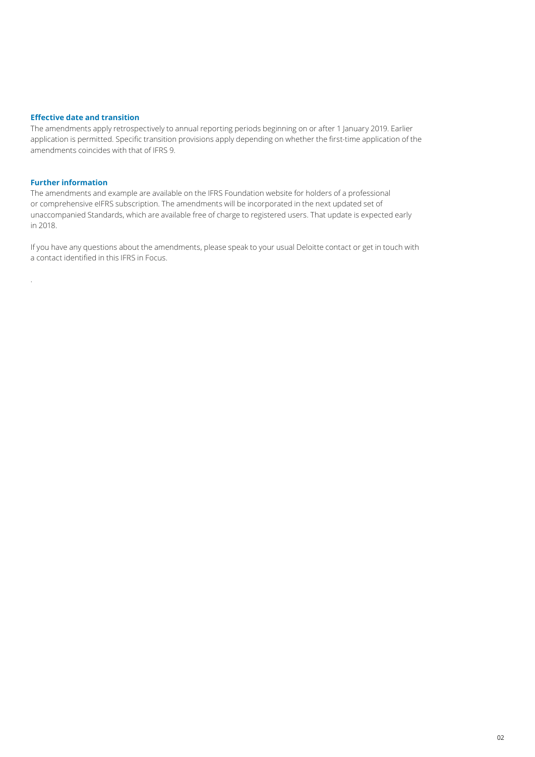#### <span id="page-1-0"></span>**Effective date and transition**

The amendments apply retrospectively to annual reporting periods beginning on or after 1 January 2019. Earlier application is permitted. Specific transition provisions apply depending on whether the first-time application of the amendments coincides with that of IFRS 9.

#### **Further information**

.

The amendments and example are available on the IFRS Foundation website for holders of a professional or comprehensive eIFRS subscription. The amendments will be incorporated in the next updated set of unaccompanied Standards, which are available free of charge to registered users. That update is expected early in 2018.

If you have any questions about the amendments, please speak to your usual Deloitte contact or get in touch with a contact identified in this IFRS in Focus.